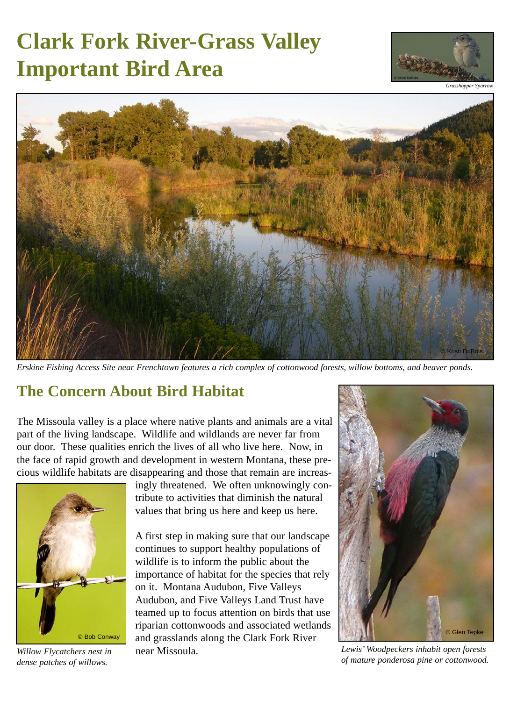# **Clark Fork River-Grass Valley Important Bird Area**





*Erskine Fishing Access Site near Frenchtown features a rich complex of cottonwood forests, willow bottoms, and beaver ponds.*

#### **The Concern About Bird Habitat**

The Missoula valley is a place where native plants and animals are a vital part of the living landscape. Wildlife and wildlands are never far from our door. These qualities enrich the lives of all who live here. Now, in the face of rapid growth and development in western Montana, these precious wildlife habitats are disappearing and those that remain are increas-



*Willow Flycatchers nest in dense patches of willows.*

ingly threatened. We often unknowingly contribute to activities that diminish the natural values that bring us here and keep us here.

A first step in making sure that our landscape continues to support healthy populations of wildlife is to inform the public about the importance of habitat for the species that rely on it. Montana Audubon, Five Valleys Audubon, and Five Valleys Land Trust have teamed up to focus attention on birds that use riparian cottonwoods and associated wetlands and grasslands along the Clark Fork River near Missoula.



*Lewis' Woodpeckers inhabit open forests of mature ponderosa pine or cottonwood.*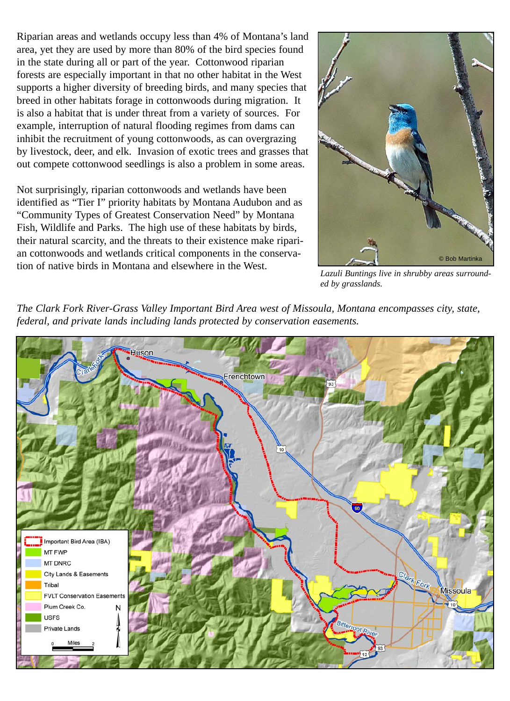Riparian areas and wetlands occupy less than 4% of Montana's land area, yet they are used by more than 80% of the bird species found in the state during all or part of the year. Cottonwood riparian forests are especially important in that no other habitat in the West supports a higher diversity of breeding birds, and many species that breed in other habitats forage in cottonwoods during migration. It is also a habitat that is under threat from a variety of sources. For example, interruption of natural flooding regimes from dams can inhibit the recruitment of young cottonwoods, as can overgrazing by livestock, deer, and elk. Invasion of exotic trees and grasses that out compete cottonwood seedlings is also a problem in some areas.

Not surprisingly, riparian cottonwoods and wetlands have been identified as "Tier I" priority habitats by Montana Audubon and as "Community Types of Greatest Conservation Need" by Montana Fish, Wildlife and Parks. The high use of these habitats by birds, their natural scarcity, and the threats to their existence make riparian cottonwoods and wetlands critical components in the conservation of native birds in Montana and elsewhere in the West.



*Lazuli Buntings live in shrubby areas surrounded by grasslands.*

*The Clark Fork River-Grass Valley Important Bird Area west of Missoula, Montana encompasses city, state, federal, and private lands including lands protected by conservation easements.*

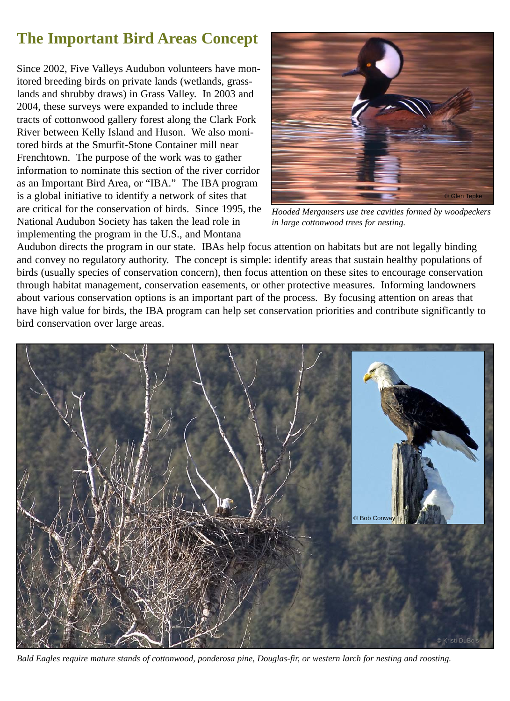### **The Important Bird Areas Concept**

Since 2002, Five Valleys Audubon volunteers have monitored breeding birds on private lands (wetlands, grasslands and shrubby draws) in Grass Valley. In 2003 and 2004, these surveys were expanded to include three tracts of cottonwood gallery forest along the Clark Fork River between Kelly Island and Huson. We also monitored birds at the Smurfit-Stone Container mill near Frenchtown. The purpose of the work was to gather information to nominate this section of the river corridor as an Important Bird Area, or "IBA." The IBA program is a global initiative to identify a network of sites that are critical for the conservation of birds. Since 1995, the National Audubon Society has taken the lead role in implementing the program in the U.S., and Montana



*Hooded Mergansers use tree cavities formed by woodpeckers in large cottonwood trees for nesting.*

Audubon directs the program in our state. IBAs help focus attention on habitats but are not legally binding and convey no regulatory authority. The concept is simple: identify areas that sustain healthy populations of birds (usually species of conservation concern), then focus attention on these sites to encourage conservation through habitat management, conservation easements, or other protective measures. Informing landowners about various conservation options is an important part of the process. By focusing attention on areas that have high value for birds, the IBA program can help set conservation priorities and contribute significantly to bird conservation over large areas.



*Bald Eagles require mature stands of cottonwood, ponderosa pine, Douglas-fir, or western larch for nesting and roosting.*